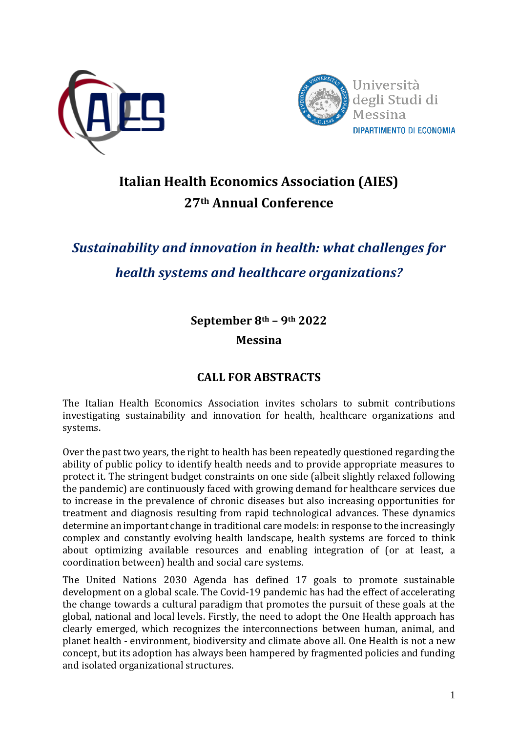



## **Italian Health Economics Association (AIES) 27th Annual Conference**

# *Sustainability and innovation in health: what challenges for health systems and healthcare organizations?*

**September 8th – 9th 2022**

## **Messina**

## **CALL FOR ABSTRACTS**

The Italian Health Economics Association invites scholars to submit contributions investigating sustainability and innovation for health, healthcare organizations and systems.

Over the past two years, the right to health has been repeatedly questioned regarding the ability of public policy to identify health needs and to provide appropriate measures to protect it. The stringent budget constraints on one side (albeit slightly relaxed following the pandemic) are continuously faced with growing demand for healthcare services due to increase in the prevalence of chronic diseases but also increasing opportunities for treatment and diagnosis resulting from rapid technological advances. These dynamics determine an important change in traditional care models: in response to the increasingly complex and constantly evolving health landscape, health systems are forced to think about optimizing available resources and enabling integration of (or at least, a coordination between) health and social care systems.

The United Nations 2030 Agenda has defined 17 goals to promote sustainable development on a global scale. The Covid-19 pandemic has had the effect of accelerating the change towards a cultural paradigm that promotes the pursuit of these goals at the global, national and local levels. Firstly, the need to adopt the One Health approach has clearly emerged, which recognizes the interconnections between human, animal, and planet health - environment, biodiversity and climate above all. One Health is not a new concept, but its adoption has always been hampered by fragmented policies and funding and isolated organizational structures.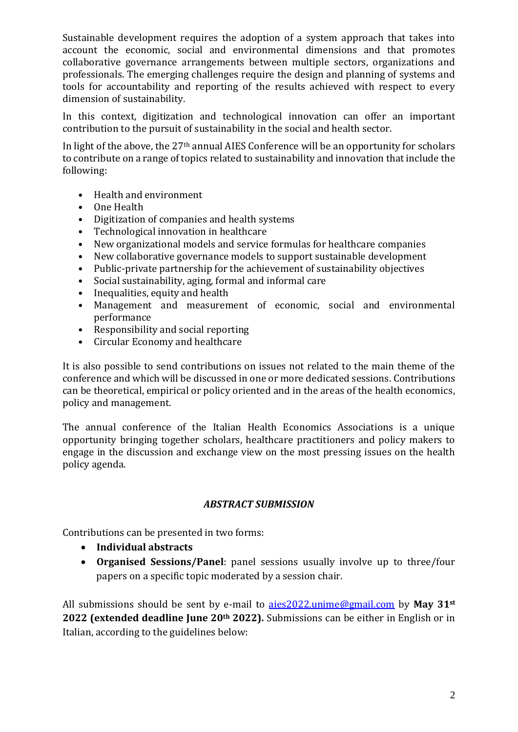Sustainable development requires the adoption of a system approach that takes into account the economic, social and environmental dimensions and that promotes collaborative governance arrangements between multiple sectors, organizations and professionals. The emerging challenges require the design and planning of systems and tools for accountability and reporting of the results achieved with respect to every dimension of sustainability.

In this context, digitization and technological innovation can offer an important contribution to the pursuit of sustainability in the social and health sector.

In light of the above, the 27th annual AIES Conference will be an opportunity for scholars to contribute on a range of topics related to sustainability and innovation that include the following:

- Health and environment
- One Health
- Digitization of companies and health systems
- Technological innovation in healthcare
- New organizational models and service formulas for healthcare companies
- New collaborative governance models to support sustainable development
- Public-private partnership for the achievement of sustainability objectives
- Social sustainability, aging, formal and informal care
- Inequalities, equity and health
- Management and measurement of economic, social and environmental performance
- Responsibility and social reporting
- Circular Economy and healthcare

It is also possible to send contributions on issues not related to the main theme of the conference and which will be discussed in one or more dedicated sessions. Contributions can be theoretical, empirical or policy oriented and in the areas of the health economics, policy and management.

The annual conference of the Italian Health Economics Associations is a unique opportunity bringing together scholars, healthcare practitioners and policy makers to engage in the discussion and exchange view on the most pressing issues on the health policy agenda.

#### *ABSTRACT SUBMISSION*

Contributions can be presented in two forms:

- **Individual abstracts**
- **Organised Sessions/Panel**: panel sessions usually involve up to three/four papers on a specific topic moderated by a session chair.

All submissions should be sent by e-mail to [aies2022.unime@gmail.com](mailto:aies2022.unime@gmail.com) by **May 31st 2022 (extended deadline June 20th 2022).** Submissions can be either in English or in Italian, according to the guidelines below: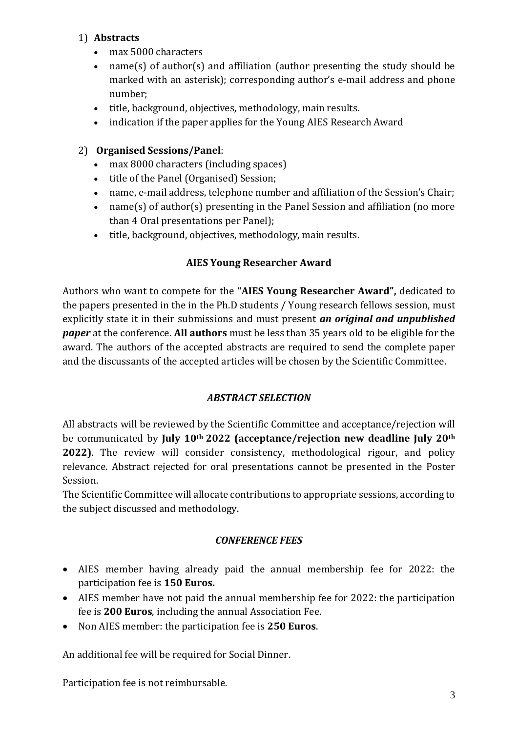#### 1) **Abstracts**

- max 5000 characters
- name(s) of author(s) and affiliation (author presenting the study should be marked with an asterisk); corresponding author's e-mail address and phone number;
- title, background, objectives, methodology, main results.
- indication if the paper applies for the Young AIES Research Award

#### 2) **Organised Sessions/Panel**:

- max 8000 characters (including spaces)
- title of the Panel (Organised) Session;
- name, e-mail address, telephone number and affiliation of the Session's Chair;
- name(s) of author(s) presenting in the Panel Session and affiliation (no more than 4 Oral presentations per Panel);
- title, background, objectives, methodology, main results.

## **AIES Young Researcher Award**

Authors who want to compete for the **"AIES Young Researcher Award",** dedicated to the papers presented in the in the Ph.D students / Young research fellows session, must explicitly state it in their submissions and must present *an original and unpublished paper* at the conference. **All authors** must be less than 35 years old to be eligible for the award. The authors of the accepted abstracts are required to send the complete paper and the discussants of the accepted articles will be chosen by the Scientific Committee.

#### *ABSTRACT SELECTION*

All abstracts will be reviewed by the Scientific Committee and acceptance/rejection will be communicated by **July 10th 2022 (acceptance/rejection new deadline July 20th 2022)**. The review will consider consistency, methodological rigour, and policy relevance. Abstract rejected for oral presentations cannot be presented in the Poster Session.

The Scientific Committee will allocate contributions to appropriate sessions, according to the subject discussed and methodology.

#### *CONFERENCE FEES*

- AIES member having already paid the annual membership fee for 2022: the participation fee is **150 Euros.**
- AIES member have not paid the annual membership fee for 2022: the participation fee is **200 Euros**, including the annual Association Fee.
- Non AIES member: the participation fee is **250 Euros**.

An additional fee will be required for Social Dinner.

Participation fee is not reimbursable.